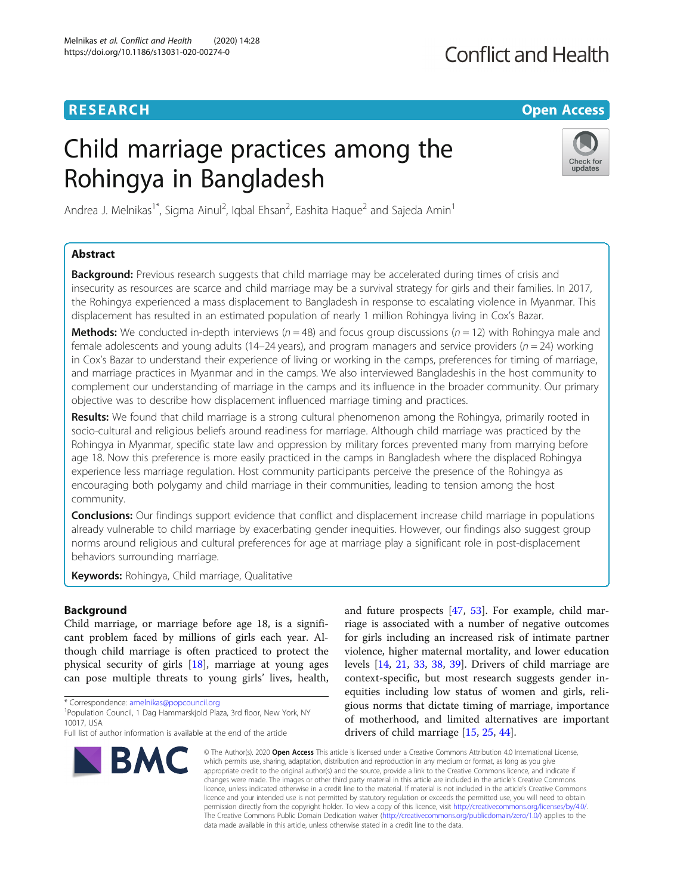## **RESEARCH CHINESE ARCH CHINESE ARCHITECT ARCHITECT ARCHITECT ARCHITECT ARCHITECT ARCHITECT ARCHITECT ARCHITECT ARCHITECT ARCHITECT ARCHITECT ARCHITECT ARCHITECT ARCHITECT ARCHITECT ARCHITECT ARCHITECT ARCHITECT ARCHITE**

## **Conflict and Health**

# Child marriage practices among the Rohingya in Bangladesh



Andrea J. Melnikas<sup>1\*</sup>, Sigma Ainul<sup>2</sup>, Iqbal Ehsan<sup>2</sup>, Eashita Haque<sup>2</sup> and Sajeda Amin<sup>1</sup>

## Abstract

**Background:** Previous research suggests that child marriage may be accelerated during times of crisis and insecurity as resources are scarce and child marriage may be a survival strategy for girls and their families. In 2017, the Rohingya experienced a mass displacement to Bangladesh in response to escalating violence in Myanmar. This displacement has resulted in an estimated population of nearly 1 million Rohingya living in Cox's Bazar.

**Methods:** We conducted in-depth interviews ( $n = 48$ ) and focus group discussions ( $n = 12$ ) with Rohingya male and female adolescents and young adults (14–24 years), and program managers and service providers ( $n = 24$ ) working in Cox's Bazar to understand their experience of living or working in the camps, preferences for timing of marriage, and marriage practices in Myanmar and in the camps. We also interviewed Bangladeshis in the host community to complement our understanding of marriage in the camps and its influence in the broader community. Our primary objective was to describe how displacement influenced marriage timing and practices.

Results: We found that child marriage is a strong cultural phenomenon among the Rohingya, primarily rooted in socio-cultural and religious beliefs around readiness for marriage. Although child marriage was practiced by the Rohingya in Myanmar, specific state law and oppression by military forces prevented many from marrying before age 18. Now this preference is more easily practiced in the camps in Bangladesh where the displaced Rohingya experience less marriage regulation. Host community participants perceive the presence of the Rohingya as encouraging both polygamy and child marriage in their communities, leading to tension among the host community.

**Conclusions:** Our findings support evidence that conflict and displacement increase child marriage in populations already vulnerable to child marriage by exacerbating gender inequities. However, our findings also suggest group norms around religious and cultural preferences for age at marriage play a significant role in post-displacement behaviors surrounding marriage.

Keywords: Rohingya, Child marriage, Qualitative

## Background

Child marriage, or marriage before age 18, is a significant problem faced by millions of girls each year. Although child marriage is often practiced to protect the physical security of girls [[18](#page-10-0)], marriage at young ages can pose multiple threats to young girls' lives, health,

\* Correspondence: [amelnikas@popcouncil.org](mailto:amelnikas@popcouncil.org) <sup>1</sup>

Full list of author information is available at the end of the article



and future prospects [[47](#page-11-0), [53\]](#page-11-0). For example, child marriage is associated with a number of negative outcomes for girls including an increased risk of intimate partner violence, higher maternal mortality, and lower education levels [\[14,](#page-10-0) [21,](#page-10-0) [33,](#page-11-0) [38,](#page-11-0) [39](#page-11-0)]. Drivers of child marriage are context-specific, but most research suggests gender inequities including low status of women and girls, religious norms that dictate timing of marriage, importance of motherhood, and limited alternatives are important drivers of child marriage [\[15](#page-10-0), [25](#page-10-0), [44](#page-11-0)].

© The Author(s), 2020 **Open Access** This article is licensed under a Creative Commons Attribution 4.0 International License, which permits use, sharing, adaptation, distribution and reproduction in any medium or format, as long as you give appropriate credit to the original author(s) and the source, provide a link to the Creative Commons licence, and indicate if changes were made. The images or other third party material in this article are included in the article's Creative Commons licence, unless indicated otherwise in a credit line to the material. If material is not included in the article's Creative Commons licence and your intended use is not permitted by statutory regulation or exceeds the permitted use, you will need to obtain permission directly from the copyright holder. To view a copy of this licence, visit [http://creativecommons.org/licenses/by/4.0/.](http://creativecommons.org/licenses/by/4.0/) The Creative Commons Public Domain Dedication waiver [\(http://creativecommons.org/publicdomain/zero/1.0/](http://creativecommons.org/publicdomain/zero/1.0/)) applies to the data made available in this article, unless otherwise stated in a credit line to the data.

<sup>&</sup>lt;sup>1</sup> Population Council, 1 Dag Hammarskjold Plaza, 3rd floor, New York, NY 10017, USA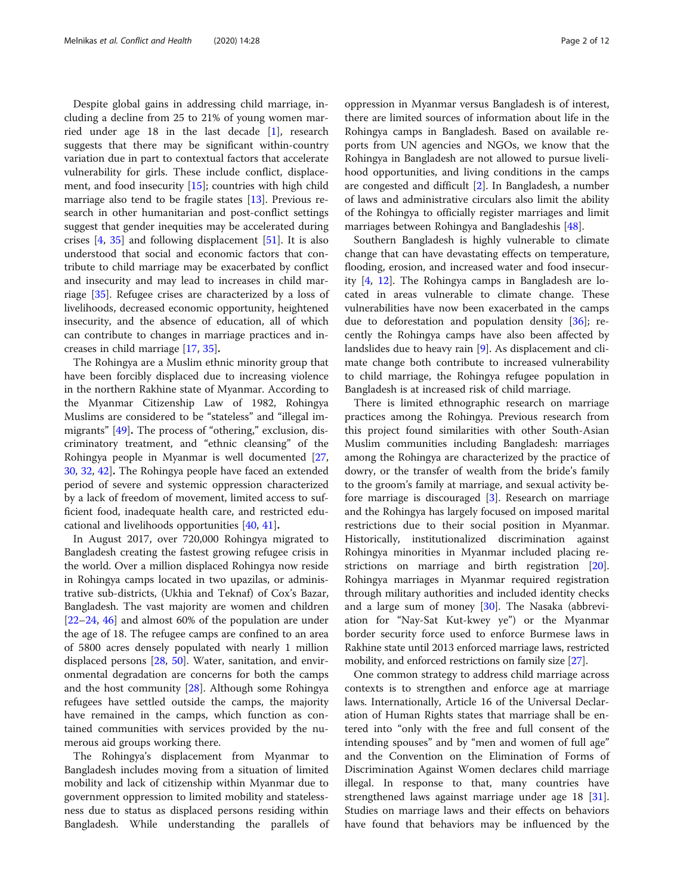Despite global gains in addressing child marriage, including a decline from 25 to 21% of young women married under age 18 in the last decade [[1](#page-10-0)], research suggests that there may be significant within-country variation due in part to contextual factors that accelerate vulnerability for girls. These include conflict, displacement, and food insecurity [[15\]](#page-10-0); countries with high child marriage also tend to be fragile states [\[13](#page-10-0)]. Previous research in other humanitarian and post-conflict settings suggest that gender inequities may be accelerated during crises [\[4](#page-10-0), [35](#page-11-0)] and following displacement [\[51](#page-11-0)]. It is also understood that social and economic factors that contribute to child marriage may be exacerbated by conflict and insecurity and may lead to increases in child marriage [[35\]](#page-11-0). Refugee crises are characterized by a loss of livelihoods, decreased economic opportunity, heightened insecurity, and the absence of education, all of which can contribute to changes in marriage practices and increases in child marriage [\[17](#page-10-0), [35](#page-11-0)].

The Rohingya are a Muslim ethnic minority group that have been forcibly displaced due to increasing violence in the northern Rakhine state of Myanmar. According to the Myanmar Citizenship Law of 1982, Rohingya Muslims are considered to be "stateless" and "illegal immigrants" [\[49](#page-11-0)]. The process of "othering," exclusion, discriminatory treatment, and "ethnic cleansing" of the Rohingya people in Myanmar is well documented [[27](#page-10-0), [30,](#page-11-0) [32](#page-11-0), [42](#page-11-0)]. The Rohingya people have faced an extended period of severe and systemic oppression characterized by a lack of freedom of movement, limited access to sufficient food, inadequate health care, and restricted educational and livelihoods opportunities [\[40,](#page-11-0) [41\]](#page-11-0).

In August 2017, over 720,000 Rohingya migrated to Bangladesh creating the fastest growing refugee crisis in the world. Over a million displaced Rohingya now reside in Rohingya camps located in two upazilas, or administrative sub-districts, (Ukhia and Teknaf) of Cox's Bazar, Bangladesh. The vast majority are women and children [[22](#page-10-0)–[24](#page-10-0), [46\]](#page-11-0) and almost 60% of the population are under the age of 18. The refugee camps are confined to an area of 5800 acres densely populated with nearly 1 million displaced persons [\[28](#page-11-0), [50\]](#page-11-0). Water, sanitation, and environmental degradation are concerns for both the camps and the host community  $[28]$  $[28]$  $[28]$ . Although some Rohingya refugees have settled outside the camps, the majority have remained in the camps, which function as contained communities with services provided by the numerous aid groups working there.

The Rohingya's displacement from Myanmar to Bangladesh includes moving from a situation of limited mobility and lack of citizenship within Myanmar due to government oppression to limited mobility and statelessness due to status as displaced persons residing within Bangladesh. While understanding the parallels of

oppression in Myanmar versus Bangladesh is of interest, there are limited sources of information about life in the Rohingya camps in Bangladesh. Based on available reports from UN agencies and NGOs, we know that the Rohingya in Bangladesh are not allowed to pursue livelihood opportunities, and living conditions in the camps are congested and difficult [\[2](#page-10-0)]. In Bangladesh, a number of laws and administrative circulars also limit the ability of the Rohingya to officially register marriages and limit marriages between Rohingya and Bangladeshis [\[48](#page-11-0)].

Southern Bangladesh is highly vulnerable to climate change that can have devastating effects on temperature, flooding, erosion, and increased water and food insecurity [[4](#page-10-0), [12\]](#page-10-0). The Rohingya camps in Bangladesh are located in areas vulnerable to climate change. These vulnerabilities have now been exacerbated in the camps due to deforestation and population density [\[36\]](#page-11-0); recently the Rohingya camps have also been affected by landslides due to heavy rain [\[9](#page-10-0)]. As displacement and climate change both contribute to increased vulnerability to child marriage, the Rohingya refugee population in Bangladesh is at increased risk of child marriage.

There is limited ethnographic research on marriage practices among the Rohingya. Previous research from this project found similarities with other South-Asian Muslim communities including Bangladesh: marriages among the Rohingya are characterized by the practice of dowry, or the transfer of wealth from the bride's family to the groom's family at marriage, and sexual activity before marriage is discouraged [\[3](#page-10-0)]. Research on marriage and the Rohingya has largely focused on imposed marital restrictions due to their social position in Myanmar. Historically, institutionalized discrimination against Rohingya minorities in Myanmar included placing re-strictions on marriage and birth registration [\[20](#page-10-0)]. Rohingya marriages in Myanmar required registration through military authorities and included identity checks and a large sum of money [\[30](#page-11-0)]. The Nasaka (abbreviation for "Nay-Sat Kut-kwey ye") or the Myanmar border security force used to enforce Burmese laws in Rakhine state until 2013 enforced marriage laws, restricted mobility, and enforced restrictions on family size [[27\]](#page-10-0).

One common strategy to address child marriage across contexts is to strengthen and enforce age at marriage laws. Internationally, Article 16 of the Universal Declaration of Human Rights states that marriage shall be entered into "only with the free and full consent of the intending spouses" and by "men and women of full age" and the Convention on the Elimination of Forms of Discrimination Against Women declares child marriage illegal. In response to that, many countries have strengthened laws against marriage under age 18 [\[31](#page-11-0)]. Studies on marriage laws and their effects on behaviors have found that behaviors may be influenced by the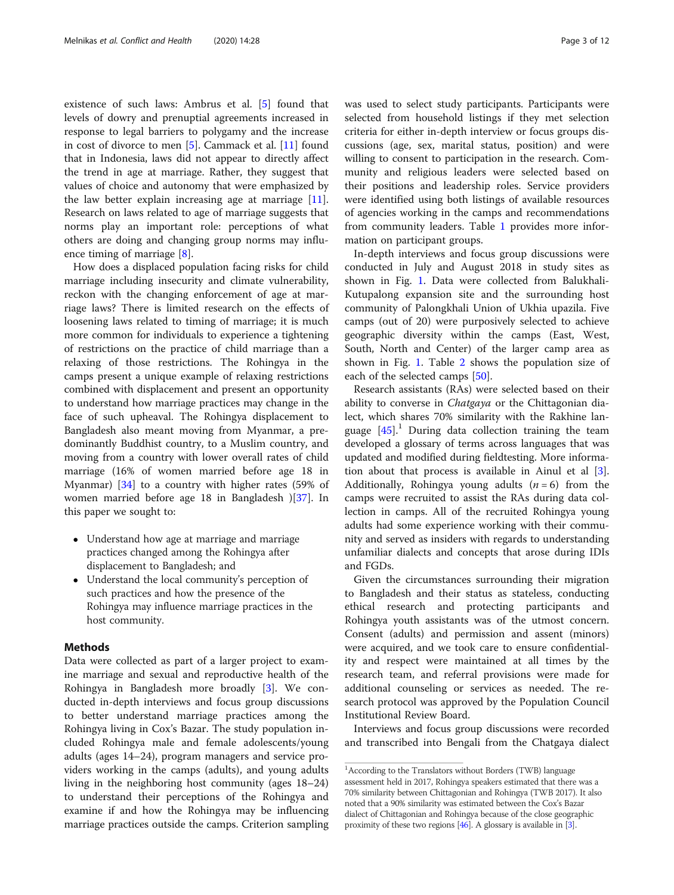existence of such laws: Ambrus et al. [[5](#page-10-0)] found that levels of dowry and prenuptial agreements increased in response to legal barriers to polygamy and the increase in cost of divorce to men  $[5]$  $[5]$ . Cammack et al.  $[11]$  $[11]$  $[11]$  found that in Indonesia, laws did not appear to directly affect the trend in age at marriage. Rather, they suggest that values of choice and autonomy that were emphasized by the law better explain increasing age at marriage  $[11]$  $[11]$ . Research on laws related to age of marriage suggests that norms play an important role: perceptions of what others are doing and changing group norms may influence timing of marriage [[8\]](#page-10-0).

How does a displaced population facing risks for child marriage including insecurity and climate vulnerability, reckon with the changing enforcement of age at marriage laws? There is limited research on the effects of loosening laws related to timing of marriage; it is much more common for individuals to experience a tightening of restrictions on the practice of child marriage than a relaxing of those restrictions. The Rohingya in the camps present a unique example of relaxing restrictions combined with displacement and present an opportunity to understand how marriage practices may change in the face of such upheaval. The Rohingya displacement to Bangladesh also meant moving from Myanmar, a predominantly Buddhist country, to a Muslim country, and moving from a country with lower overall rates of child marriage (16% of women married before age 18 in Myanmar) [\[34\]](#page-11-0) to a country with higher rates (59% of women married before age 18 in Bangladesh )[[37\]](#page-11-0). In this paper we sought to:

- Understand how age at marriage and marriage practices changed among the Rohingya after displacement to Bangladesh; and
- Understand the local community's perception of such practices and how the presence of the Rohingya may influence marriage practices in the host community.

## Methods

Data were collected as part of a larger project to examine marriage and sexual and reproductive health of the Rohingya in Bangladesh more broadly [[3\]](#page-10-0). We conducted in-depth interviews and focus group discussions to better understand marriage practices among the Rohingya living in Cox's Bazar. The study population included Rohingya male and female adolescents/young adults (ages 14–24), program managers and service providers working in the camps (adults), and young adults living in the neighboring host community (ages 18–24) to understand their perceptions of the Rohingya and examine if and how the Rohingya may be influencing marriage practices outside the camps. Criterion sampling was used to select study participants. Participants were selected from household listings if they met selection criteria for either in-depth interview or focus groups discussions (age, sex, marital status, position) and were willing to consent to participation in the research. Community and religious leaders were selected based on their positions and leadership roles. Service providers were identified using both listings of available resources of agencies working in the camps and recommendations from community leaders. Table [1](#page-3-0) provides more information on participant groups.

In-depth interviews and focus group discussions were conducted in July and August 2018 in study sites as shown in Fig. [1](#page-3-0). Data were collected from Balukhali-Kutupalong expansion site and the surrounding host community of Palongkhali Union of Ukhia upazila. Five camps (out of 20) were purposively selected to achieve geographic diversity within the camps (East, West, South, North and Center) of the larger camp area as shown in Fig. [1](#page-3-0). Table [2](#page-4-0) shows the population size of each of the selected camps [\[50](#page-11-0)].

Research assistants (RAs) were selected based on their ability to converse in *Chatgaya* or the Chittagonian dialect, which shares 70% similarity with the Rakhine language  $[45]$  $[45]$ <sup>1</sup>. During data collection training the team developed a glossary of terms across languages that was updated and modified during fieldtesting. More information about that process is available in Ainul et al [\[3](#page-10-0)]. Additionally, Rohingya young adults  $(n = 6)$  from the camps were recruited to assist the RAs during data collection in camps. All of the recruited Rohingya young adults had some experience working with their community and served as insiders with regards to understanding unfamiliar dialects and concepts that arose during IDIs and FGDs.

Given the circumstances surrounding their migration to Bangladesh and their status as stateless, conducting ethical research and protecting participants and Rohingya youth assistants was of the utmost concern. Consent (adults) and permission and assent (minors) were acquired, and we took care to ensure confidentiality and respect were maintained at all times by the research team, and referral provisions were made for additional counseling or services as needed. The research protocol was approved by the Population Council Institutional Review Board.

Interviews and focus group discussions were recorded and transcribed into Bengali from the Chatgaya dialect

<sup>&</sup>lt;sup>1</sup> According to the Translators without Borders (TWB) language assessment held in 2017, Rohingya speakers estimated that there was a 70% similarity between Chittagonian and Rohingya (TWB 2017). It also noted that a 90% similarity was estimated between the Cox's Bazar dialect of Chittagonian and Rohingya because of the close geographic proximity of these two regions [\[46](#page-11-0)]. A glossary is available in [\[3\]](#page-10-0).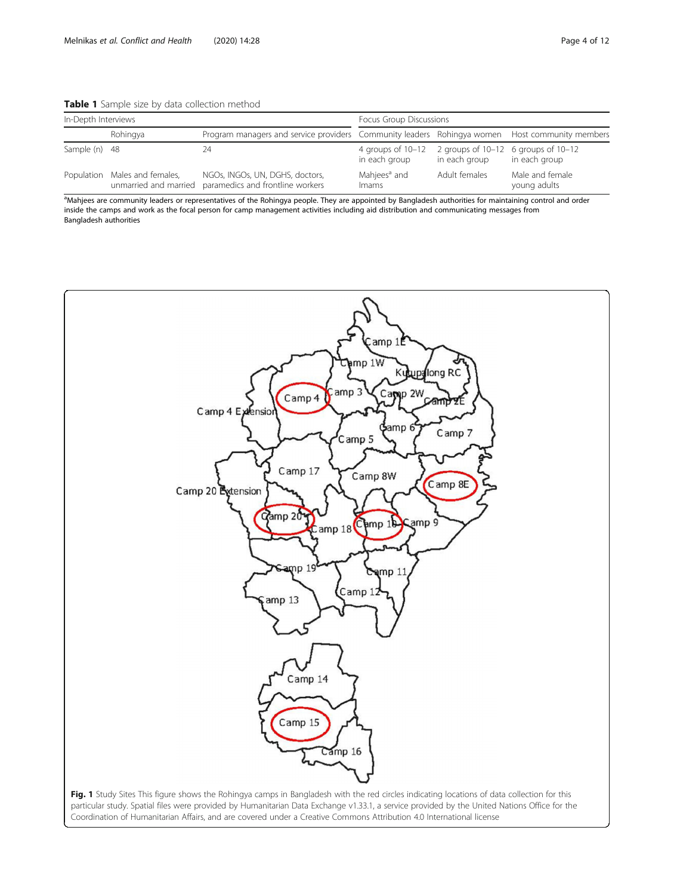<span id="page-3-0"></span>Table 1 Sample size by data collection method

| In-Depth Interviews |                               |                                                                                                | Focus Group Discussions                                                      |               |                                 |
|---------------------|-------------------------------|------------------------------------------------------------------------------------------------|------------------------------------------------------------------------------|---------------|---------------------------------|
|                     | Rohingya                      | Program managers and service providers Community leaders Rohingya women Host community members |                                                                              |               |                                 |
| Sample (n) 48       |                               | 24                                                                                             | 4 groups of $10-12$ 2 groups of $10-12$ 6 groups of $10-12$<br>in each group | in each group | in each group                   |
|                     | Population Males and females, | NGOs, INGOs, UN, DGHS, doctors,<br>unmarried and married paramedics and frontline workers      | Mahjees <sup>a</sup> and<br>Imams                                            | Adult females | Male and female<br>young adults |

<sup>a</sup>Mahjees are community leaders or representatives of the Rohingya people. They are appointed by Bangladesh authorities for maintaining control and order inside the camps and work as the focal person for camp management activities including aid distribution and communicating messages from Bangladesh authorities

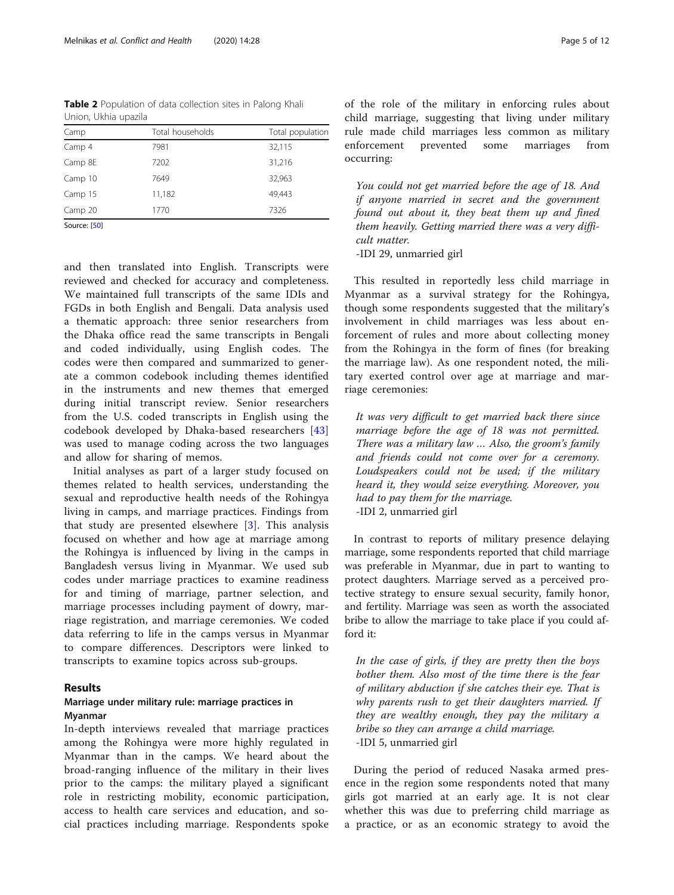<span id="page-4-0"></span>Table 2 Population of data collection sites in Palong Khali Union, Ukhia upazila

| Camp         | Total households | Total population |
|--------------|------------------|------------------|
| Camp 4       | 7981             | 32,115           |
| Camp 8E      | 7202             | 31,216           |
| Camp 10      | 7649             | 32,963           |
| Camp 15      | 11,182           | 49,443           |
| Camp 20      | 1770             | 7326             |
| Source: [50] |                  |                  |

and then translated into English. Transcripts were reviewed and checked for accuracy and completeness. We maintained full transcripts of the same IDIs and FGDs in both English and Bengali. Data analysis used a thematic approach: three senior researchers from the Dhaka office read the same transcripts in Bengali and coded individually, using English codes. The codes were then compared and summarized to generate a common codebook including themes identified in the instruments and new themes that emerged during initial transcript review. Senior researchers from the U.S. coded transcripts in English using the codebook developed by Dhaka-based researchers [\[43](#page-11-0)] was used to manage coding across the two languages and allow for sharing of memos.

Initial analyses as part of a larger study focused on themes related to health services, understanding the sexual and reproductive health needs of the Rohingya living in camps, and marriage practices. Findings from that study are presented elsewhere  $[3]$  $[3]$ . This analysis focused on whether and how age at marriage among the Rohingya is influenced by living in the camps in Bangladesh versus living in Myanmar. We used sub codes under marriage practices to examine readiness for and timing of marriage, partner selection, and marriage processes including payment of dowry, marriage registration, and marriage ceremonies. We coded data referring to life in the camps versus in Myanmar to compare differences. Descriptors were linked to transcripts to examine topics across sub-groups.

#### Results

## Marriage under military rule: marriage practices in Myanmar

In-depth interviews revealed that marriage practices among the Rohingya were more highly regulated in Myanmar than in the camps. We heard about the broad-ranging influence of the military in their lives prior to the camps: the military played a significant role in restricting mobility, economic participation, access to health care services and education, and social practices including marriage. Respondents spoke of the role of the military in enforcing rules about child marriage, suggesting that living under military rule made child marriages less common as military enforcement prevented some marriages from occurring:

You could not get married before the age of 18. And if anyone married in secret and the government found out about it, they beat them up and fined them heavily. Getting married there was a very difficult matter.

-IDI 29, unmarried girl

This resulted in reportedly less child marriage in Myanmar as a survival strategy for the Rohingya, though some respondents suggested that the military's involvement in child marriages was less about enforcement of rules and more about collecting money from the Rohingya in the form of fines (for breaking the marriage law). As one respondent noted, the military exerted control over age at marriage and marriage ceremonies:

It was very difficult to get married back there since marriage before the age of 18 was not permitted. There was a military law … Also, the groom's family and friends could not come over for a ceremony. Loudspeakers could not be used; if the military heard it, they would seize everything. Moreover, you had to pay them for the marriage. -IDI 2, unmarried girl

In contrast to reports of military presence delaying marriage, some respondents reported that child marriage was preferable in Myanmar, due in part to wanting to protect daughters. Marriage served as a perceived protective strategy to ensure sexual security, family honor, and fertility. Marriage was seen as worth the associated bribe to allow the marriage to take place if you could afford it:

In the case of girls, if they are pretty then the boys bother them. Also most of the time there is the fear of military abduction if she catches their eye. That is why parents rush to get their daughters married. If they are wealthy enough, they pay the military a bribe so they can arrange a child marriage. -IDI 5, unmarried girl

During the period of reduced Nasaka armed presence in the region some respondents noted that many girls got married at an early age. It is not clear whether this was due to preferring child marriage as a practice, or as an economic strategy to avoid the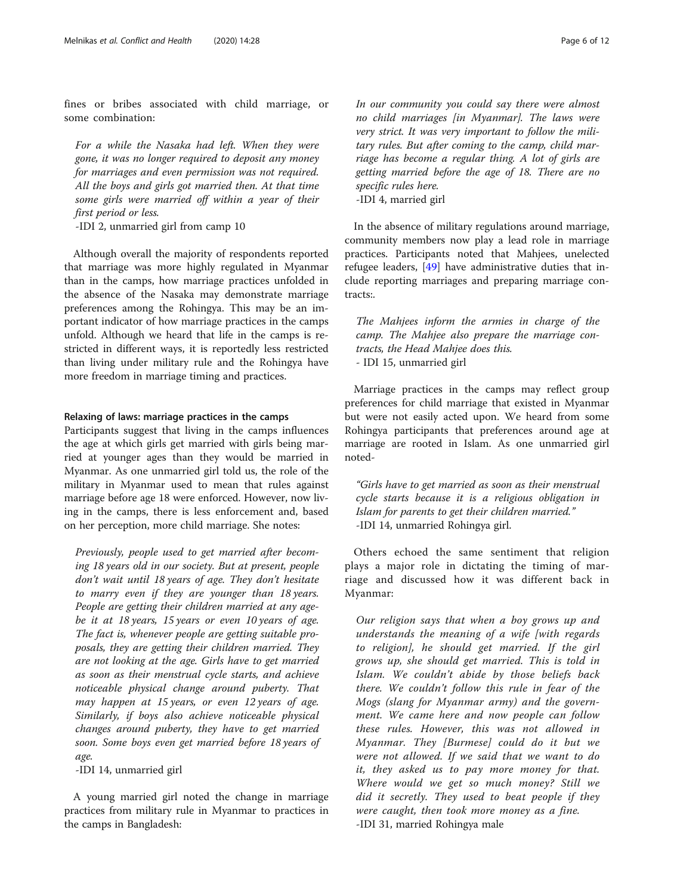fines or bribes associated with child marriage, or some combination:

For a while the Nasaka had left. When they were gone, it was no longer required to deposit any money for marriages and even permission was not required. All the boys and girls got married then. At that time some girls were married off within a year of their first period or less.

-IDI 2, unmarried girl from camp 10

Although overall the majority of respondents reported that marriage was more highly regulated in Myanmar than in the camps, how marriage practices unfolded in the absence of the Nasaka may demonstrate marriage preferences among the Rohingya. This may be an important indicator of how marriage practices in the camps unfold. Although we heard that life in the camps is restricted in different ways, it is reportedly less restricted than living under military rule and the Rohingya have more freedom in marriage timing and practices.

#### Relaxing of laws: marriage practices in the camps

Participants suggest that living in the camps influences the age at which girls get married with girls being married at younger ages than they would be married in Myanmar. As one unmarried girl told us, the role of the military in Myanmar used to mean that rules against marriage before age 18 were enforced. However, now living in the camps, there is less enforcement and, based on her perception, more child marriage. She notes:

Previously, people used to get married after becoming 18 years old in our society. But at present, people don't wait until 18 years of age. They don't hesitate to marry even if they are younger than 18 years. People are getting their children married at any agebe it at 18 years, 15 years or even 10 years of age. The fact is, whenever people are getting suitable proposals, they are getting their children married. They are not looking at the age. Girls have to get married as soon as their menstrual cycle starts, and achieve noticeable physical change around puberty. That may happen at 15 years, or even 12 years of age. Similarly, if boys also achieve noticeable physical changes around puberty, they have to get married soon. Some boys even get married before 18 years of age.

-IDI 14, unmarried girl

A young married girl noted the change in marriage practices from military rule in Myanmar to practices in the camps in Bangladesh:

In our community you could say there were almost no child marriages [in Myanmar]. The laws were very strict. It was very important to follow the military rules. But after coming to the camp, child marriage has become a regular thing. A lot of girls are getting married before the age of 18. There are no specific rules here. -IDI 4, married girl

In the absence of military regulations around marriage, community members now play a lead role in marriage practices. Participants noted that Mahjees, unelected refugee leaders, [\[49](#page-11-0)] have administrative duties that include reporting marriages and preparing marriage contracts:.

The Mahjees inform the armies in charge of the camp. The Mahjee also prepare the marriage contracts, the Head Mahjee does this. - IDI 15, unmarried girl

Marriage practices in the camps may reflect group preferences for child marriage that existed in Myanmar but were not easily acted upon. We heard from some Rohingya participants that preferences around age at marriage are rooted in Islam. As one unmarried girl noted-

"Girls have to get married as soon as their menstrual cycle starts because it is a religious obligation in Islam for parents to get their children married." -IDI 14, unmarried Rohingya girl.

Others echoed the same sentiment that religion plays a major role in dictating the timing of marriage and discussed how it was different back in Myanmar:

Our religion says that when a boy grows up and understands the meaning of a wife [with regards to religion], he should get married. If the girl grows up, she should get married. This is told in Islam. We couldn't abide by those beliefs back there. We couldn't follow this rule in fear of the Mogs (slang for Myanmar army) and the government. We came here and now people can follow these rules. However, this was not allowed in Myanmar. They [Burmese] could do it but we were not allowed. If we said that we want to do it, they asked us to pay more money for that. Where would we get so much money? Still we did it secretly. They used to beat people if they were caught, then took more money as a fine. -IDI 31, married Rohingya male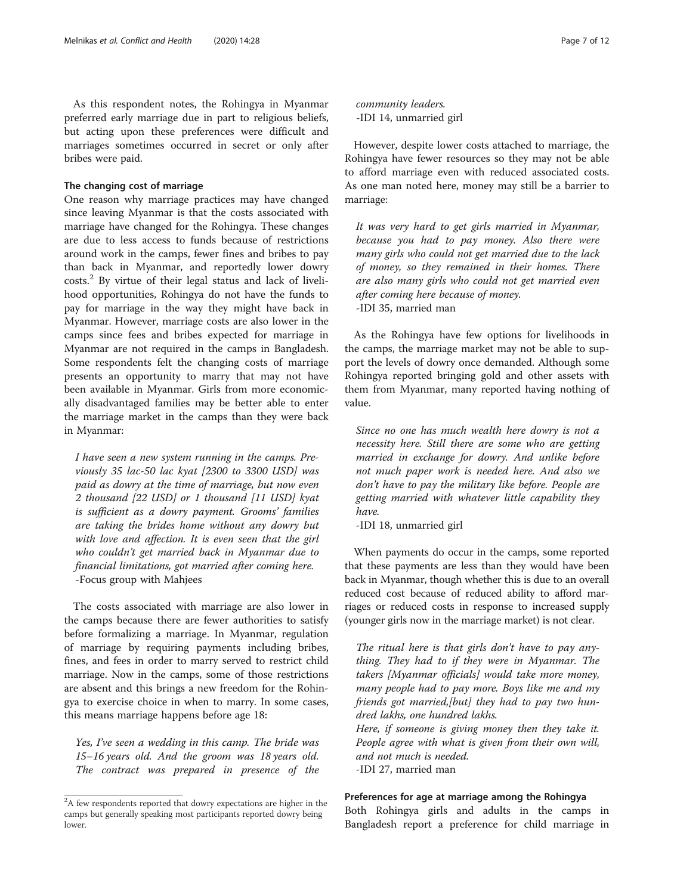As this respondent notes, the Rohingya in Myanmar preferred early marriage due in part to religious beliefs, but acting upon these preferences were difficult and marriages sometimes occurred in secret or only after bribes were paid.

## The changing cost of marriage

One reason why marriage practices may have changed since leaving Myanmar is that the costs associated with marriage have changed for the Rohingya. These changes are due to less access to funds because of restrictions around work in the camps, fewer fines and bribes to pay than back in Myanmar, and reportedly lower dowry  $costs<sup>2</sup>$  By virtue of their legal status and lack of livelihood opportunities, Rohingya do not have the funds to pay for marriage in the way they might have back in Myanmar. However, marriage costs are also lower in the camps since fees and bribes expected for marriage in Myanmar are not required in the camps in Bangladesh. Some respondents felt the changing costs of marriage presents an opportunity to marry that may not have been available in Myanmar. Girls from more economically disadvantaged families may be better able to enter the marriage market in the camps than they were back in Myanmar:

I have seen a new system running in the camps. Previously 35 lac-50 lac kyat [2300 to 3300 USD] was paid as dowry at the time of marriage, but now even 2 thousand [22 USD] or 1 thousand [11 USD] kyat is sufficient as a dowry payment. Grooms' families are taking the brides home without any dowry but with love and affection. It is even seen that the girl who couldn't get married back in Myanmar due to financial limitations, got married after coming here. -Focus group with Mahjees

The costs associated with marriage are also lower in the camps because there are fewer authorities to satisfy before formalizing a marriage. In Myanmar, regulation of marriage by requiring payments including bribes, fines, and fees in order to marry served to restrict child marriage. Now in the camps, some of those restrictions are absent and this brings a new freedom for the Rohingya to exercise choice in when to marry. In some cases, this means marriage happens before age 18:

Yes, I've seen a wedding in this camp. The bride was 15–16 years old. And the groom was 18 years old. The contract was prepared in presence of the community leaders. -IDI 14, unmarried girl

However, despite lower costs attached to marriage, the Rohingya have fewer resources so they may not be able to afford marriage even with reduced associated costs. As one man noted here, money may still be a barrier to marriage:

It was very hard to get girls married in Myanmar, because you had to pay money. Also there were many girls who could not get married due to the lack of money, so they remained in their homes. There are also many girls who could not get married even after coming here because of money. -IDI 35, married man

As the Rohingya have few options for livelihoods in the camps, the marriage market may not be able to support the levels of dowry once demanded. Although some Rohingya reported bringing gold and other assets with them from Myanmar, many reported having nothing of value.

Since no one has much wealth here dowry is not a necessity here. Still there are some who are getting married in exchange for dowry. And unlike before not much paper work is needed here. And also we don't have to pay the military like before. People are getting married with whatever little capability they have.

-IDI 18, unmarried girl

When payments do occur in the camps, some reported that these payments are less than they would have been back in Myanmar, though whether this is due to an overall reduced cost because of reduced ability to afford marriages or reduced costs in response to increased supply (younger girls now in the marriage market) is not clear.

The ritual here is that girls don't have to pay anything. They had to if they were in Myanmar. The takers [Myanmar officials] would take more money, many people had to pay more. Boys like me and my friends got married,[but] they had to pay two hundred lakhs, one hundred lakhs.

Here, if someone is giving money then they take it. People agree with what is given from their own will, and not much is needed. -IDI 27, married man

## Preferences for age at marriage among the Rohingya

Both Rohingya girls and adults in the camps in Bangladesh report a preference for child marriage in

 $2A$  few respondents reported that dowry expectations are higher in the camps but generally speaking most participants reported dowry being lower.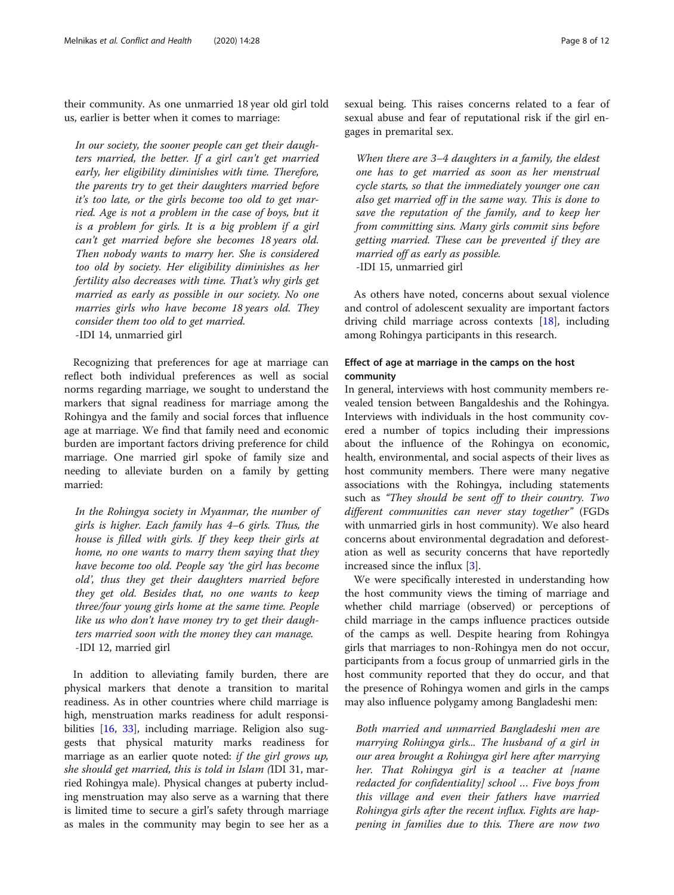their community. As one unmarried 18 year old girl told us, earlier is better when it comes to marriage:

In our society, the sooner people can get their daughters married, the better. If a girl can't get married early, her eligibility diminishes with time. Therefore, the parents try to get their daughters married before it's too late, or the girls become too old to get married. Age is not a problem in the case of boys, but it is a problem for girls. It is a big problem if a girl can't get married before she becomes 18 years old. Then nobody wants to marry her. She is considered too old by society. Her eligibility diminishes as her fertility also decreases with time. That's why girls get married as early as possible in our society. No one marries girls who have become 18 years old. They consider them too old to get married. -IDI 14, unmarried girl

Recognizing that preferences for age at marriage can reflect both individual preferences as well as social norms regarding marriage, we sought to understand the markers that signal readiness for marriage among the Rohingya and the family and social forces that influence age at marriage. We find that family need and economic burden are important factors driving preference for child marriage. One married girl spoke of family size and needing to alleviate burden on a family by getting married:

In the Rohingya society in Myanmar, the number of girls is higher. Each family has 4–6 girls. Thus, the house is filled with girls. If they keep their girls at home, no one wants to marry them saying that they have become too old. People say 'the girl has become old', thus they get their daughters married before they get old. Besides that, no one wants to keep three/four young girls home at the same time. People like us who don't have money try to get their daughters married soon with the money they can manage. -IDI 12, married girl

In addition to alleviating family burden, there are physical markers that denote a transition to marital readiness. As in other countries where child marriage is high, menstruation marks readiness for adult responsibilities [\[16](#page-10-0), [33](#page-11-0)], including marriage. Religion also suggests that physical maturity marks readiness for marriage as an earlier quote noted: if the girl grows up, she should get married, this is told in Islam (IDI 31, married Rohingya male). Physical changes at puberty including menstruation may also serve as a warning that there is limited time to secure a girl's safety through marriage as males in the community may begin to see her as a sexual being. This raises concerns related to a fear of sexual abuse and fear of reputational risk if the girl engages in premarital sex.

When there are 3–4 daughters in a family, the eldest one has to get married as soon as her menstrual cycle starts, so that the immediately younger one can also get married off in the same way. This is done to save the reputation of the family, and to keep her from committing sins. Many girls commit sins before getting married. These can be prevented if they are married off as early as possible. -IDI 15, unmarried girl

As others have noted, concerns about sexual violence and control of adolescent sexuality are important factors driving child marriage across contexts [[18\]](#page-10-0), including among Rohingya participants in this research.

## Effect of age at marriage in the camps on the host community

In general, interviews with host community members revealed tension between Bangaldeshis and the Rohingya. Interviews with individuals in the host community covered a number of topics including their impressions about the influence of the Rohingya on economic, health, environmental, and social aspects of their lives as host community members. There were many negative associations with the Rohingya, including statements such as "They should be sent off to their country. Two different communities can never stay together" (FGDs with unmarried girls in host community). We also heard concerns about environmental degradation and deforestation as well as security concerns that have reportedly increased since the influx [[3\]](#page-10-0).

We were specifically interested in understanding how the host community views the timing of marriage and whether child marriage (observed) or perceptions of child marriage in the camps influence practices outside of the camps as well. Despite hearing from Rohingya girls that marriages to non-Rohingya men do not occur, participants from a focus group of unmarried girls in the host community reported that they do occur, and that the presence of Rohingya women and girls in the camps may also influence polygamy among Bangladeshi men:

Both married and unmarried Bangladeshi men are marrying Rohingya girls... The husband of a girl in our area brought a Rohingya girl here after marrying her. That Rohingya girl is a teacher at [name redacted for confidentiality] school … Five boys from this village and even their fathers have married Rohingya girls after the recent influx. Fights are happening in families due to this. There are now two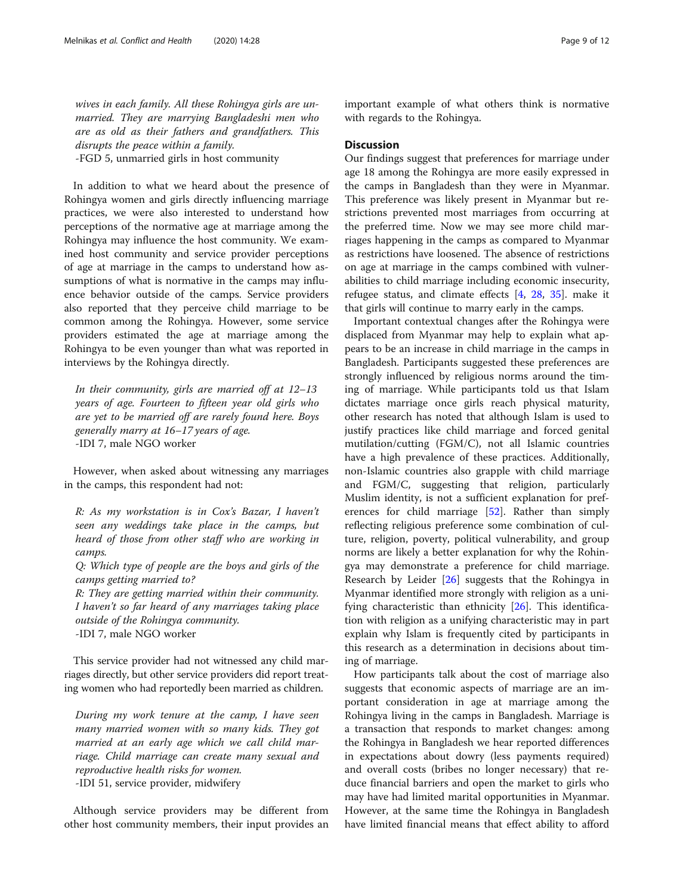wives in each family. All these Rohingya girls are unmarried. They are marrying Bangladeshi men who are as old as their fathers and grandfathers. This disrupts the peace within a family. -FGD 5, unmarried girls in host community

In addition to what we heard about the presence of Rohingya women and girls directly influencing marriage practices, we were also interested to understand how perceptions of the normative age at marriage among the Rohingya may influence the host community. We examined host community and service provider perceptions of age at marriage in the camps to understand how assumptions of what is normative in the camps may influence behavior outside of the camps. Service providers also reported that they perceive child marriage to be common among the Rohingya. However, some service providers estimated the age at marriage among the Rohingya to be even younger than what was reported in interviews by the Rohingya directly.

In their community, girls are married off at 12–13 years of age. Fourteen to fifteen year old girls who are yet to be married off are rarely found here. Boys generally marry at 16–17 years of age. -IDI 7, male NGO worker

However, when asked about witnessing any marriages in the camps, this respondent had not:

R: As my workstation is in Cox's Bazar, I haven't seen any weddings take place in the camps, but heard of those from other staff who are working in camps.

Q: Which type of people are the boys and girls of the camps getting married to?

R: They are getting married within their community. I haven't so far heard of any marriages taking place outside of the Rohingya community. -IDI 7, male NGO worker

This service provider had not witnessed any child marriages directly, but other service providers did report treating women who had reportedly been married as children.

During my work tenure at the camp, I have seen many married women with so many kids. They got married at an early age which we call child marriage. Child marriage can create many sexual and reproductive health risks for women. -IDI 51, service provider, midwifery

Although service providers may be different from other host community members, their input provides an important example of what others think is normative with regards to the Rohingya.

#### **Discussion**

Our findings suggest that preferences for marriage under age 18 among the Rohingya are more easily expressed in the camps in Bangladesh than they were in Myanmar. This preference was likely present in Myanmar but restrictions prevented most marriages from occurring at the preferred time. Now we may see more child marriages happening in the camps as compared to Myanmar as restrictions have loosened. The absence of restrictions on age at marriage in the camps combined with vulnerabilities to child marriage including economic insecurity, refugee status, and climate effects [[4,](#page-10-0) [28](#page-11-0), [35](#page-11-0)]. make it that girls will continue to marry early in the camps.

Important contextual changes after the Rohingya were displaced from Myanmar may help to explain what appears to be an increase in child marriage in the camps in Bangladesh. Participants suggested these preferences are strongly influenced by religious norms around the timing of marriage. While participants told us that Islam dictates marriage once girls reach physical maturity, other research has noted that although Islam is used to justify practices like child marriage and forced genital mutilation/cutting (FGM/C), not all Islamic countries have a high prevalence of these practices. Additionally, non-Islamic countries also grapple with child marriage and FGM/C, suggesting that religion, particularly Muslim identity, is not a sufficient explanation for preferences for child marriage [[52\]](#page-11-0). Rather than simply reflecting religious preference some combination of culture, religion, poverty, political vulnerability, and group norms are likely a better explanation for why the Rohingya may demonstrate a preference for child marriage. Research by Leider [[26](#page-10-0)] suggests that the Rohingya in Myanmar identified more strongly with religion as a unifying characteristic than ethnicity [[26](#page-10-0)]. This identification with religion as a unifying characteristic may in part explain why Islam is frequently cited by participants in this research as a determination in decisions about timing of marriage.

How participants talk about the cost of marriage also suggests that economic aspects of marriage are an important consideration in age at marriage among the Rohingya living in the camps in Bangladesh. Marriage is a transaction that responds to market changes: among the Rohingya in Bangladesh we hear reported differences in expectations about dowry (less payments required) and overall costs (bribes no longer necessary) that reduce financial barriers and open the market to girls who may have had limited marital opportunities in Myanmar. However, at the same time the Rohingya in Bangladesh have limited financial means that effect ability to afford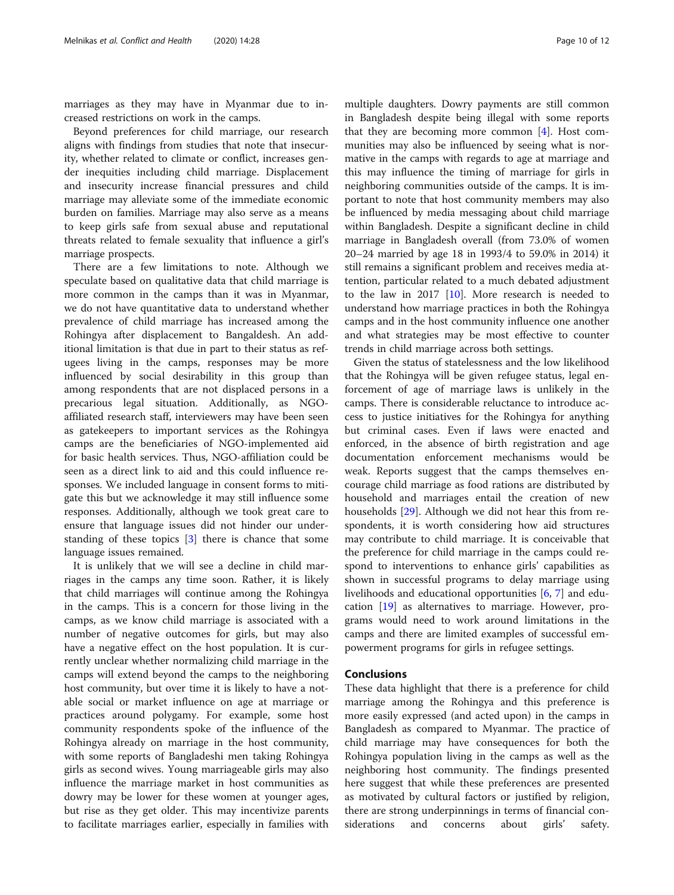marriages as they may have in Myanmar due to increased restrictions on work in the camps.

Beyond preferences for child marriage, our research aligns with findings from studies that note that insecurity, whether related to climate or conflict, increases gender inequities including child marriage. Displacement and insecurity increase financial pressures and child marriage may alleviate some of the immediate economic burden on families. Marriage may also serve as a means to keep girls safe from sexual abuse and reputational threats related to female sexuality that influence a girl's marriage prospects.

There are a few limitations to note. Although we speculate based on qualitative data that child marriage is more common in the camps than it was in Myanmar, we do not have quantitative data to understand whether prevalence of child marriage has increased among the Rohingya after displacement to Bangaldesh. An additional limitation is that due in part to their status as refugees living in the camps, responses may be more influenced by social desirability in this group than among respondents that are not displaced persons in a precarious legal situation. Additionally, as NGOaffiliated research staff, interviewers may have been seen as gatekeepers to important services as the Rohingya camps are the beneficiaries of NGO-implemented aid for basic health services. Thus, NGO-affiliation could be seen as a direct link to aid and this could influence responses. We included language in consent forms to mitigate this but we acknowledge it may still influence some responses. Additionally, although we took great care to ensure that language issues did not hinder our understanding of these topics [\[3](#page-10-0)] there is chance that some language issues remained.

It is unlikely that we will see a decline in child marriages in the camps any time soon. Rather, it is likely that child marriages will continue among the Rohingya in the camps. This is a concern for those living in the camps, as we know child marriage is associated with a number of negative outcomes for girls, but may also have a negative effect on the host population. It is currently unclear whether normalizing child marriage in the camps will extend beyond the camps to the neighboring host community, but over time it is likely to have a notable social or market influence on age at marriage or practices around polygamy. For example, some host community respondents spoke of the influence of the Rohingya already on marriage in the host community, with some reports of Bangladeshi men taking Rohingya girls as second wives. Young marriageable girls may also influence the marriage market in host communities as dowry may be lower for these women at younger ages, but rise as they get older. This may incentivize parents to facilitate marriages earlier, especially in families with

multiple daughters. Dowry payments are still common in Bangladesh despite being illegal with some reports that they are becoming more common [\[4](#page-10-0)]. Host communities may also be influenced by seeing what is normative in the camps with regards to age at marriage and this may influence the timing of marriage for girls in neighboring communities outside of the camps. It is important to note that host community members may also be influenced by media messaging about child marriage within Bangladesh. Despite a significant decline in child marriage in Bangladesh overall (from 73.0% of women 20–24 married by age 18 in 1993/4 to 59.0% in 2014) it still remains a significant problem and receives media attention, particular related to a much debated adjustment to the law in 2017  $[10]$  $[10]$ . More research is needed to understand how marriage practices in both the Rohingya camps and in the host community influence one another and what strategies may be most effective to counter trends in child marriage across both settings.

Given the status of statelessness and the low likelihood that the Rohingya will be given refugee status, legal enforcement of age of marriage laws is unlikely in the camps. There is considerable reluctance to introduce access to justice initiatives for the Rohingya for anything but criminal cases. Even if laws were enacted and enforced, in the absence of birth registration and age documentation enforcement mechanisms would be weak. Reports suggest that the camps themselves encourage child marriage as food rations are distributed by household and marriages entail the creation of new households [\[29\]](#page-11-0). Although we did not hear this from respondents, it is worth considering how aid structures may contribute to child marriage. It is conceivable that the preference for child marriage in the camps could respond to interventions to enhance girls' capabilities as shown in successful programs to delay marriage using livelihoods and educational opportunities [[6,](#page-10-0) [7\]](#page-10-0) and education [[19\]](#page-10-0) as alternatives to marriage. However, programs would need to work around limitations in the camps and there are limited examples of successful empowerment programs for girls in refugee settings.

## Conclusions

These data highlight that there is a preference for child marriage among the Rohingya and this preference is more easily expressed (and acted upon) in the camps in Bangladesh as compared to Myanmar. The practice of child marriage may have consequences for both the Rohingya population living in the camps as well as the neighboring host community. The findings presented here suggest that while these preferences are presented as motivated by cultural factors or justified by religion, there are strong underpinnings in terms of financial considerations and concerns about girls' safety.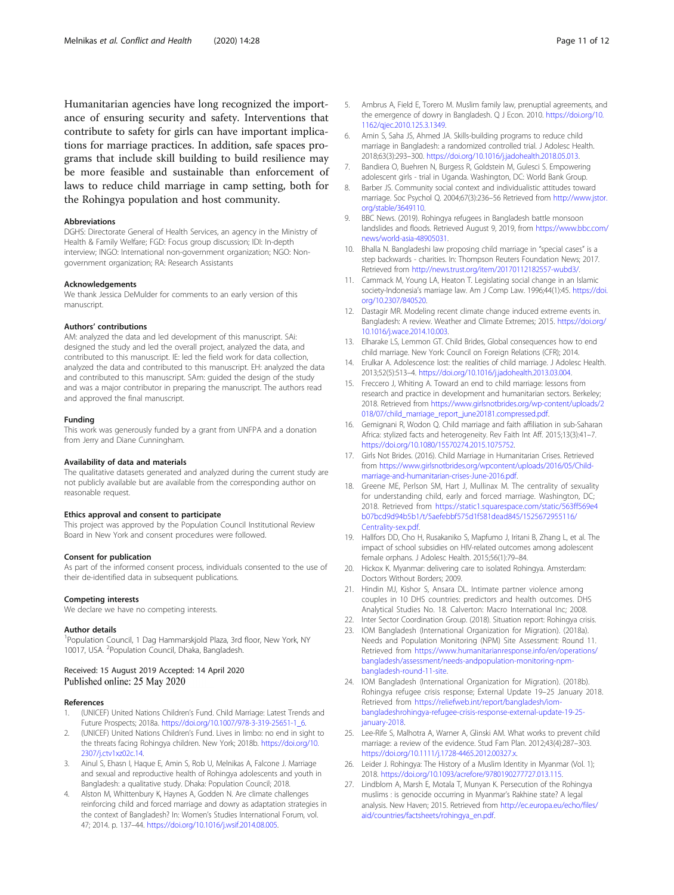<span id="page-10-0"></span>Humanitarian agencies have long recognized the importance of ensuring security and safety. Interventions that contribute to safety for girls can have important implications for marriage practices. In addition, safe spaces programs that include skill building to build resilience may be more feasible and sustainable than enforcement of laws to reduce child marriage in camp setting, both for the Rohingya population and host community.

#### **Abbreviations**

DGHS: Directorate General of Health Services, an agency in the Ministry of Health & Family Welfare; FGD: Focus group discussion; IDI: In-depth interview; INGO: International non-government organization; NGO: Nongovernment organization; RA: Research Assistants

#### Acknowledgements

We thank Jessica DeMulder for comments to an early version of this manuscript.

#### Authors' contributions

AM: analyzed the data and led development of this manuscript. SAi: designed the study and led the overall project, analyzed the data, and contributed to this manuscript. IE: led the field work for data collection, analyzed the data and contributed to this manuscript. EH: analyzed the data and contributed to this manuscript. SAm: guided the design of the study and was a major contributor in preparing the manuscript. The authors read and approved the final manuscript.

#### Funding

This work was generously funded by a grant from UNFPA and a donation from Jerry and Diane Cunningham.

#### Availability of data and materials

The qualitative datasets generated and analyzed during the current study are not publicly available but are available from the corresponding author on reasonable request.

#### Ethics approval and consent to participate

This project was approved by the Population Council Institutional Review Board in New York and consent procedures were followed.

#### Consent for publication

As part of the informed consent process, individuals consented to the use of their de-identified data in subsequent publications.

#### Competing interests

We declare we have no competing interests.

#### Author details

<sup>1</sup> Population Council, 1 Dag Hammarskjold Plaza, 3rd floor, New York, NY 10017, USA. <sup>2</sup>Population Council, Dhaka, Bangladesh.

## Received: 15 August 2019 Accepted: 14 April 2020 Published online: 25 May 2020

#### References

- 1. (UNICEF) United Nations Children's Fund. Child Marriage: Latest Trends and Future Prospects; 2018a. [https://doi.org/10.1007/978-3-319-25651-1\\_6.](https://doi.org/10.1007/978-3-319-25651-1_6)
- 2. (UNICEF) United Nations Children's Fund. Lives in limbo: no end in sight to the threats facing Rohingya children. New York; 2018b. [https://doi.org/10.](https://doi.org/10.2307/j.ctv1xz02c.14) [2307/j.ctv1xz02c.14](https://doi.org/10.2307/j.ctv1xz02c.14).
- 3. Ainul S, Ehasn I, Haque E, Amin S, Rob U, Melnikas A, Falcone J. Marriage and sexual and reproductive health of Rohingya adolescents and youth in Bangladesh: a qualitative study. Dhaka: Population Council; 2018.
- 4. Alston M, Whittenbury K, Haynes A, Godden N. Are climate challenges reinforcing child and forced marriage and dowry as adaptation strategies in the context of Bangladesh? In: Women's Studies International Forum, vol. 47; 2014. p. 137–44. <https://doi.org/10.1016/j.wsif.2014.08.005>.
- 5. Ambrus A, Field E, Torero M. Muslim family law, prenuptial agreements, and the emergence of dowry in Bangladesh. Q J Econ. 2010. [https://doi.org/10.](https://doi.org/10.1162/qjec.2010.125.3.1349) [1162/qjec.2010.125.3.1349](https://doi.org/10.1162/qjec.2010.125.3.1349).
- 6. Amin S, Saha JS, Ahmed JA. Skills-building programs to reduce child marriage in Bangladesh: a randomized controlled trial. J Adolesc Health. 2018;63(3):293–300. <https://doi.org/10.1016/j.jadohealth.2018.05.013>.
- 7. Bandiera O, Buehren N, Burgess R, Goldstein M, Gulesci S. Empowering adolescent girls - trial in Uganda. Washington, DC: World Bank Group.
- 8. Barber JS. Community social context and individualistic attitudes toward marriage. Soc Psychol Q. 2004;67(3):236–56 Retrieved from [http://www.jstor.](http://www.jstor.org/stable/3649110) [org/stable/3649110.](http://www.jstor.org/stable/3649110)
- 9. BBC News. (2019). Rohingya refugees in Bangladesh battle monsoon landslides and floods. Retrieved August 9, 2019, from [https://www.bbc.com/](https://www.bbc.com/news/world-asia-48905031) [news/world-asia-48905031](https://www.bbc.com/news/world-asia-48905031).
- 10. Bhalla N. Bangladeshi law proposing child marriage in "special cases" is a step backwards - charities. In: Thompson Reuters Foundation News; 2017. Retrieved from [http://news.trust.org/item/20170112182557-wubd3/.](http://news.trust.org/item/20170112182557-wubd3/)
- 11. Cammack M, Young LA, Heaton T. Legislating social change in an Islamic society-Indonesia's marriage law. Am J Comp Law. 1996;44(1):45. [https://doi.](https://doi.org/10.2307/840520) [org/10.2307/840520](https://doi.org/10.2307/840520).
- 12. Dastagir MR. Modeling recent climate change induced extreme events in. Bangladesh: A review. Weather and Climate Extremes; 2015. [https://doi.org/](https://doi.org/10.1016/j.wace.2014.10.003) [10.1016/j.wace.2014.10.003.](https://doi.org/10.1016/j.wace.2014.10.003)
- 13. Elharake LS, Lemmon GT. Child Brides, Global consequences how to end child marriage. New York: Council on Foreign Relations (CFR); 2014.
- 14. Erulkar A. Adolescence lost: the realities of child marriage. J Adolesc Health. 2013;52(5):513–4. [https://doi.org/10.1016/j.jadohealth.2013.03.004.](https://doi.org/10.1016/j.jadohealth.2013.03.004)
- 15. Freccero J, Whiting A. Toward an end to child marriage: lessons from research and practice in development and humanitarian sectors. Berkeley; 2018. Retrieved from [https://www.girlsnotbrides.org/wp-content/uploads/2](https://www.girlsnotbrides.org/wp-content/uploads/2018/07/child_marriage_report_june20181.compressed.pdf) [018/07/child\\_marriage\\_report\\_june20181.compressed.pdf](https://www.girlsnotbrides.org/wp-content/uploads/2018/07/child_marriage_report_june20181.compressed.pdf).
- 16. Gemignani R, Wodon Q. Child marriage and faith affiliation in sub-Saharan Africa: stylized facts and heterogeneity. Rev Faith Int Aff. 2015;13(3):41–7. <https://doi.org/10.1080/15570274.2015.1075752>.
- 17. Girls Not Brides. (2016). Child Marriage in Humanitarian Crises. Retrieved from [https://www.girlsnotbrides.org/wpcontent/uploads/2016/05/Child](https://www.girlsnotbrides.org/wpcontent/uploads/2016/05/Child-marriage-and-humanitarian-crises-June-2016.pdf)[marriage-and-humanitarian-crises-June-2016.pdf.](https://www.girlsnotbrides.org/wpcontent/uploads/2016/05/Child-marriage-and-humanitarian-crises-June-2016.pdf)
- 18. Greene ME, Perlson SM, Hart J, Mullinax M. The centrality of sexuality for understanding child, early and forced marriage. Washington, DC; 2018. Retrieved from [https://static1.squarespace.com/static/563ff569e4](https://static1.squarespace.com/static/563ff569e4b07bcd9d94b5b1/t/5aefebbf575d1f581dead845/1525672955116/Centrality-sex.pdf) [b07bcd9d94b5b1/t/5aefebbf575d1f581dead845/1525672955116/](https://static1.squarespace.com/static/563ff569e4b07bcd9d94b5b1/t/5aefebbf575d1f581dead845/1525672955116/Centrality-sex.pdf) [Centrality-sex.pdf](https://static1.squarespace.com/static/563ff569e4b07bcd9d94b5b1/t/5aefebbf575d1f581dead845/1525672955116/Centrality-sex.pdf).
- 19. Hallfors DD, Cho H, Rusakaniko S, Mapfumo J, Iritani B, Zhang L, et al. The impact of school subsidies on HIV-related outcomes among adolescent female orphans. J Adolesc Health. 2015;56(1):79–84.
- 20. Hickox K. Myanmar: delivering care to isolated Rohingya. Amsterdam: Doctors Without Borders; 2009.
- 21. Hindin MJ, Kishor S, Ansara DL. Intimate partner violence among couples in 10 DHS countries: predictors and health outcomes. DHS Analytical Studies No. 18. Calverton: Macro International Inc; 2008.
- 22. Inter Sector Coordination Group. (2018). Situation report: Rohingya crisis.
- 23. IOM Bangladesh (International Organization for Migration). (2018a). Needs and Population Monitoring (NPM) Site Assessment: Round 11. Retrieved from [https://www.humanitarianresponse.info/en/operations/](https://www.humanitarianresponse.info/en/operations/bangladesh/assessment/needs-andpopulation-monitoring-npm-bangladesh-round-11-site) [bangladesh/assessment/needs-andpopulation-monitoring-npm](https://www.humanitarianresponse.info/en/operations/bangladesh/assessment/needs-andpopulation-monitoring-npm-bangladesh-round-11-site)[bangladesh-round-11-site.](https://www.humanitarianresponse.info/en/operations/bangladesh/assessment/needs-andpopulation-monitoring-npm-bangladesh-round-11-site)
- 24. IOM Bangladesh (International Organization for Migration). (2018b). Rohingya refugee crisis response; External Update 19–25 January 2018. Retrieved from [https://reliefweb.int/report/bangladesh/iom](https://reliefweb.int/report/bangladesh/iom-bangladeshrohingya-refugee-crisis-response-external-update-19-25-january-2018)[bangladeshrohingya-refugee-crisis-response-external-update-19-25](https://reliefweb.int/report/bangladesh/iom-bangladeshrohingya-refugee-crisis-response-external-update-19-25-january-2018) [january-2018](https://reliefweb.int/report/bangladesh/iom-bangladeshrohingya-refugee-crisis-response-external-update-19-25-january-2018).
- 25. Lee-Rife S, Malhotra A, Warner A, Glinski AM. What works to prevent child marriage: a review of the evidence. Stud Fam Plan. 2012;43(4):287–303. <https://doi.org/10.1111/j.1728-4465.2012.00327.x>.
- 26. Leider J. Rohingya: The History of a Muslim Identity in Myanmar (Vol. 1); 2018. [https://doi.org/10.1093/acrefore/9780190277727.013.115.](https://doi.org/10.1093/acrefore/9780190277727.013.115)
- 27. Lindblom A, Marsh E, Motala T, Munyan K. Persecution of the Rohingya muslims : is genocide occurring in Myanmar's Rakhine state? A legal analysis. New Haven; 2015. Retrieved from [http://ec.europa.eu/echo/files/](http://ec.europa.eu/echo/files/aid/countries/factsheets/rohingya_en.pdf) [aid/countries/factsheets/rohingya\\_en.pdf.](http://ec.europa.eu/echo/files/aid/countries/factsheets/rohingya_en.pdf)